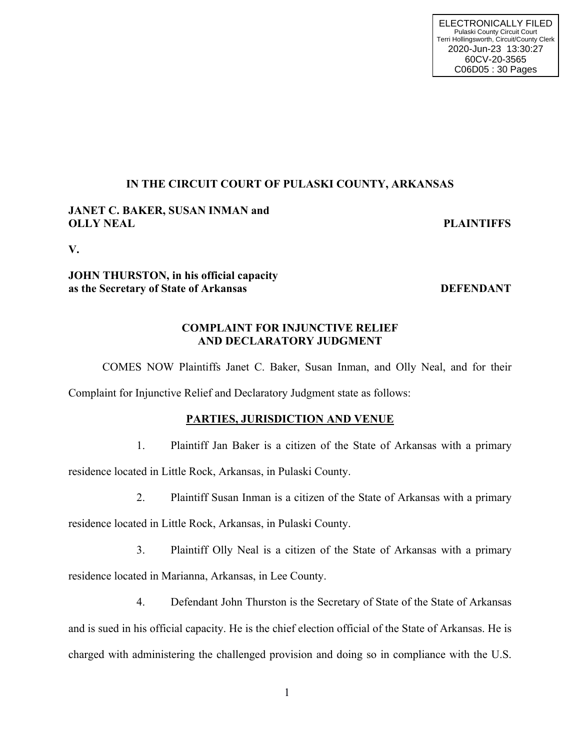# **IN THE CIRCUIT COURT OF PULASKI COUNTY, ARKANSAS**

# **JANET C. BAKER, SUSAN INMAN and OLLY NEAL PLAINTIFFS**

**V.**

# **JOHN THURSTON, in his official capacity as the Secretary of State of Arkansas DEFENDANT**

# **COMPLAINT FOR INJUNCTIVE RELIEF AND DECLARATORY JUDGMENT**

COMES NOW Plaintiffs Janet C. Baker, Susan Inman, and Olly Neal, and for their

Complaint for Injunctive Relief and Declaratory Judgment state as follows:

# **PARTIES, JURISDICTION AND VENUE**

1. Plaintiff Jan Baker is a citizen of the State of Arkansas with a primary

residence located in Little Rock, Arkansas, in Pulaski County.

2. Plaintiff Susan Inman is a citizen of the State of Arkansas with a primary

residence located in Little Rock, Arkansas, in Pulaski County.

- 3. Plaintiff Olly Neal is a citizen of the State of Arkansas with a primary residence located in Marianna, Arkansas, in Lee County.
- 4. Defendant John Thurston is the Secretary of State of the State of Arkansas and is sued in his official capacity. He is the chief election official of the State of Arkansas. He is charged with administering the challenged provision and doing so in compliance with the U.S.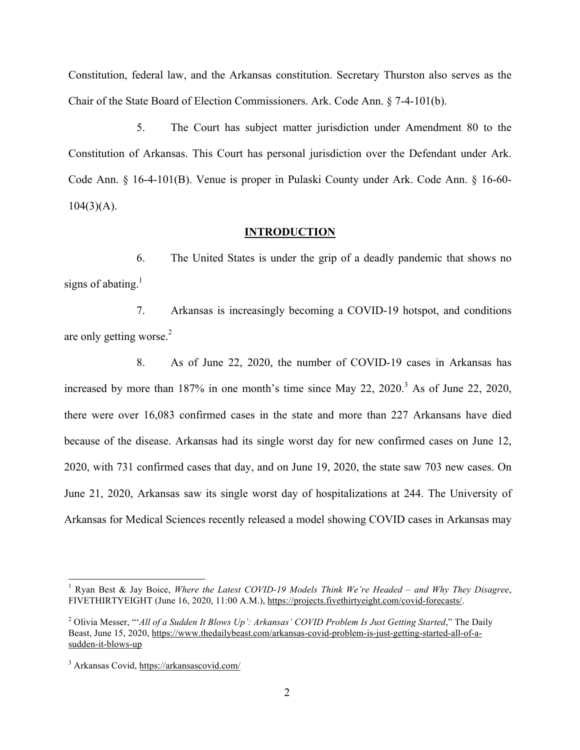Constitution, federal law, and the Arkansas constitution. Secretary Thurston also serves as the Chair of the State Board of Election Commissioners. Ark. Code Ann. § 7-4-101(b).

5. The Court has subject matter jurisdiction under Amendment 80 to the Constitution of Arkansas. This Court has personal jurisdiction over the Defendant under Ark. Code Ann. § 16-4-101(B). Venue is proper in Pulaski County under Ark. Code Ann. § 16-60-  $104(3)(A)$ .

#### **INTRODUCTION**

6. The United States is under the grip of a deadly pandemic that shows no signs of abating. $<sup>1</sup>$ </sup>

7. Arkansas is increasingly becoming a COVID-19 hotspot, and conditions are only getting worse. $2$ 

8. As of June 22, 2020, the number of COVID-19 cases in Arkansas has increased by more than 187% in one month's time since May 22, 2020. 3 As of June 22, 2020, there were over 16,083 confirmed cases in the state and more than 227 Arkansans have died because of the disease. Arkansas had its single worst day for new confirmed cases on June 12, 2020, with 731 confirmed cases that day, and on June 19, 2020, the state saw 703 new cases. On June 21, 2020, Arkansas saw its single worst day of hospitalizations at 244. The University of Arkansas for Medical Sciences recently released a model showing COVID cases in Arkansas may

 <sup>1</sup> Ryan Best & Jay Boice, *Where the Latest COVID-19 Models Think We're Headed – and Why They Disagree*, FIVETHIRTYEIGHT (June 16, 2020, 11:00 A.M.), https://projects.fivethirtyeight.com/covid-forecasts/.

<sup>&</sup>lt;sup>2</sup> Olivia Messer, "*'All of a Sudden It Blows Up': Arkansas' COVID Problem Is Just Getting Started*," The Daily Beast, June 15, 2020, https://www.thedailybeast.com/arkansas-covid-problem-is-just-getting-started-all-of-asudden-it-blows-up

<sup>3</sup> Arkansas Covid, https://arkansascovid.com/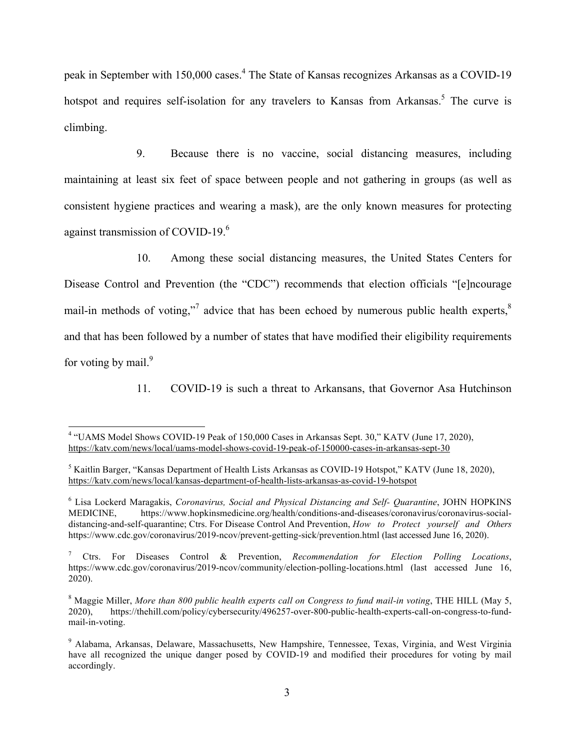peak in September with 150,000 cases.<sup>4</sup> The State of Kansas recognizes Arkansas as a COVID-19 hotspot and requires self-isolation for any travelers to Kansas from Arkansas.<sup>5</sup> The curve is climbing.

9. Because there is no vaccine, social distancing measures, including maintaining at least six feet of space between people and not gathering in groups (as well as consistent hygiene practices and wearing a mask), are the only known measures for protecting against transmission of COVID-19.6

10. Among these social distancing measures, the United States Centers for Disease Control and Prevention (the "CDC") recommends that election officials "[e]ncourage mail-in methods of voting,"<sup>7</sup> advice that has been echoed by numerous public health experts, ${}^{8}$ and that has been followed by a number of states that have modified their eligibility requirements for voting by mail. $9$ 

11. COVID-19 is such a threat to Arkansans, that Governor Asa Hutchinson

 <sup>4</sup> "UAMS Model Shows COVID-19 Peak of 150,000 Cases in Arkansas Sept. 30," KATV (June 17, 2020), https://katv.com/news/local/uams-model-shows-covid-19-peak-of-150000-cases-in-arkansas-sept-30

<sup>5</sup> Kaitlin Barger, "Kansas Department of Health Lists Arkansas as COVID-19 Hotspot," KATV (June 18, 2020), https://katv.com/news/local/kansas-department-of-health-lists-arkansas-as-covid-19-hotspot

<sup>6</sup> Lisa Lockerd Maragakis, *Coronavirus, Social and Physical Distancing and Self- Quarantine*, JOHN HOPKINS MEDICINE, https://www.hopkinsmedicine.org/health/conditions-and-diseases/coronavirus/coronavirus-socialdistancing-and-self-quarantine; Ctrs. For Disease Control And Prevention, *How to Protect yourself and Others*  https://www.cdc.gov/coronavirus/2019-ncov/prevent-getting-sick/prevention.html (last accessed June 16, 2020).

<sup>7</sup> Ctrs. For Diseases Control & Prevention, *Recommendation for Election Polling Locations*, https://www.cdc.gov/coronavirus/2019-ncov/community/election-polling-locations.html (last accessed June 16, 2020).

<sup>8</sup> Maggie Miller, *More than 800 public health experts call on Congress to fund mail-in voting*, THE HILL (May 5, 2020), https://thehill.com/policy/cybersecurity/496257-over-800-public-health-experts-call-on-congress-to-fundmail-in-voting.

<sup>9</sup> Alabama, Arkansas, Delaware, Massachusetts, New Hampshire, Tennessee, Texas, Virginia, and West Virginia have all recognized the unique danger posed by COVID-19 and modified their procedures for voting by mail accordingly.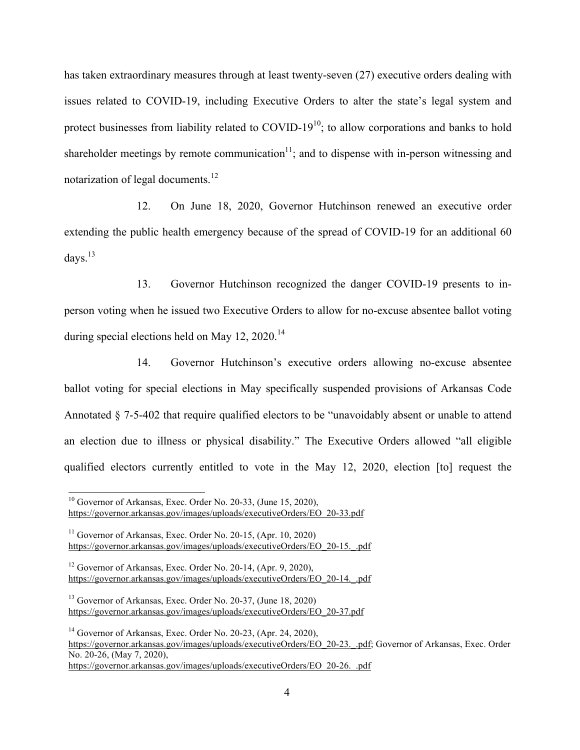has taken extraordinary measures through at least twenty-seven (27) executive orders dealing with issues related to COVID-19, including Executive Orders to alter the state's legal system and protect businesses from liability related to COVID-19 $^{10}$ ; to allow corporations and banks to hold shareholder meetings by remote communication $11$ ; and to dispense with in-person witnessing and notarization of legal documents.<sup>12</sup>

12. On June 18, 2020, Governor Hutchinson renewed an executive order extending the public health emergency because of the spread of COVID-19 for an additional 60 days. $13$ 

13. Governor Hutchinson recognized the danger COVID-19 presents to inperson voting when he issued two Executive Orders to allow for no-excuse absentee ballot voting during special elections held on May  $12$ ,  $2020$ .<sup>14</sup>

14. Governor Hutchinson's executive orders allowing no-excuse absentee ballot voting for special elections in May specifically suspended provisions of Arkansas Code Annotated § 7-5-402 that require qualified electors to be "unavoidably absent or unable to attend an election due to illness or physical disability." The Executive Orders allowed "all eligible qualified electors currently entitled to vote in the May 12, 2020, election [to] request the

 $10$  Governor of Arkansas, Exec. Order No. 20-33, (June 15, 2020), https://governor.arkansas.gov/images/uploads/executiveOrders/EO\_20-33.pdf

 $11$  Governor of Arkansas, Exec. Order No. 20-15, (Apr. 10, 2020) https://governor.arkansas.gov/images/uploads/executiveOrders/EO\_20-15.\_.pdf

 $12$  Governor of Arkansas, Exec. Order No. 20-14, (Apr. 9, 2020), https://governor.arkansas.gov/images/uploads/executiveOrders/EO\_20-14.\_.pdf

<sup>13</sup> Governor of Arkansas, Exec. Order No. 20-37, (June 18, 2020) https://governor.arkansas.gov/images/uploads/executiveOrders/EO\_20-37.pdf

<sup>&</sup>lt;sup>14</sup> Governor of Arkansas, Exec. Order No. 20-23, (Apr. 24, 2020), https://governor.arkansas.gov/images/uploads/executiveOrders/EO\_20-23.\_.pdf; Governor of Arkansas, Exec. Order No. 20-26, (May 7, 2020), https://governor.arkansas.gov/images/uploads/executiveOrders/EO\_20-26.\_.pdf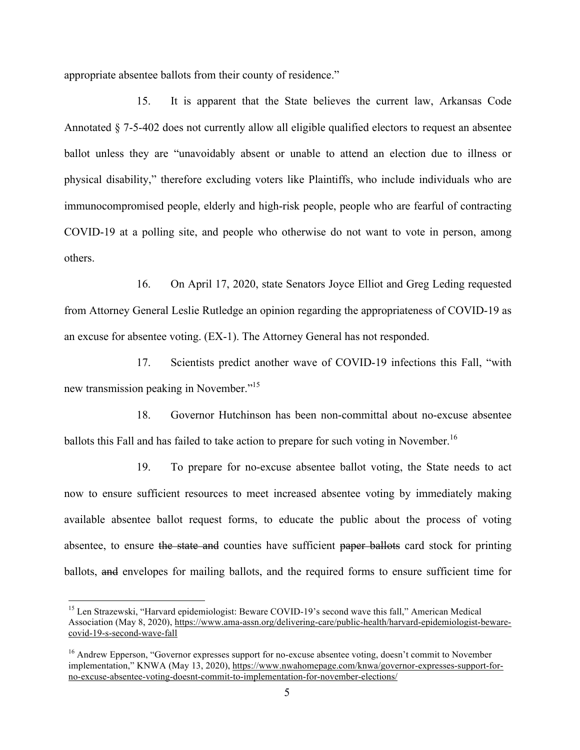appropriate absentee ballots from their county of residence."

15. It is apparent that the State believes the current law, Arkansas Code Annotated § 7-5-402 does not currently allow all eligible qualified electors to request an absentee ballot unless they are "unavoidably absent or unable to attend an election due to illness or physical disability," therefore excluding voters like Plaintiffs, who include individuals who are immunocompromised people, elderly and high-risk people, people who are fearful of contracting COVID-19 at a polling site, and people who otherwise do not want to vote in person, among others.

16. On April 17, 2020, state Senators Joyce Elliot and Greg Leding requested from Attorney General Leslie Rutledge an opinion regarding the appropriateness of COVID-19 as an excuse for absentee voting. (EX-1). The Attorney General has not responded.

17. Scientists predict another wave of COVID-19 infections this Fall, "with new transmission peaking in November."<sup>15</sup>

18. Governor Hutchinson has been non-committal about no-excuse absentee ballots this Fall and has failed to take action to prepare for such voting in November.<sup>16</sup>

19. To prepare for no-excuse absentee ballot voting, the State needs to act now to ensure sufficient resources to meet increased absentee voting by immediately making available absentee ballot request forms, to educate the public about the process of voting absentee, to ensure the state and counties have sufficient paper ballots card stock for printing ballots, and envelopes for mailing ballots, and the required forms to ensure sufficient time for

<sup>&</sup>lt;sup>15</sup> Len Strazewski, "Harvard epidemiologist: Beware COVID-19's second wave this fall," American Medical Association (May 8, 2020), https://www.ama-assn.org/delivering-care/public-health/harvard-epidemiologist-bewarecovid-19-s-second-wave-fall

<sup>&</sup>lt;sup>16</sup> Andrew Epperson, "Governor expresses support for no-excuse absentee voting, doesn't commit to November implementation," KNWA (May 13, 2020), https://www.nwahomepage.com/knwa/governor-expresses-support-forno-excuse-absentee-voting-doesnt-commit-to-implementation-for-november-elections/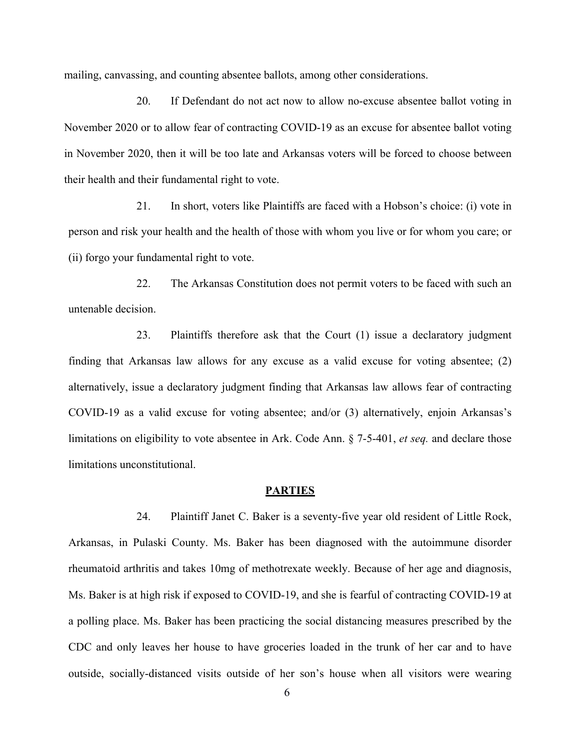mailing, canvassing, and counting absentee ballots, among other considerations.

20. If Defendant do not act now to allow no-excuse absentee ballot voting in November 2020 or to allow fear of contracting COVID-19 as an excuse for absentee ballot voting in November 2020, then it will be too late and Arkansas voters will be forced to choose between their health and their fundamental right to vote.

21. In short, voters like Plaintiffs are faced with a Hobson's choice: (i) vote in person and risk your health and the health of those with whom you live or for whom you care; or (ii) forgo your fundamental right to vote.

22. The Arkansas Constitution does not permit voters to be faced with such an untenable decision.

23. Plaintiffs therefore ask that the Court (1) issue a declaratory judgment finding that Arkansas law allows for any excuse as a valid excuse for voting absentee; (2) alternatively, issue a declaratory judgment finding that Arkansas law allows fear of contracting COVID-19 as a valid excuse for voting absentee; and/or (3) alternatively, enjoin Arkansas's limitations on eligibility to vote absentee in Ark. Code Ann. § 7-5-401, *et seq.* and declare those limitations unconstitutional.

## **PARTIES**

24. Plaintiff Janet C. Baker is a seventy-five year old resident of Little Rock, Arkansas, in Pulaski County. Ms. Baker has been diagnosed with the autoimmune disorder rheumatoid arthritis and takes 10mg of methotrexate weekly. Because of her age and diagnosis, Ms. Baker is at high risk if exposed to COVID-19, and she is fearful of contracting COVID-19 at a polling place. Ms. Baker has been practicing the social distancing measures prescribed by the CDC and only leaves her house to have groceries loaded in the trunk of her car and to have outside, socially-distanced visits outside of her son's house when all visitors were wearing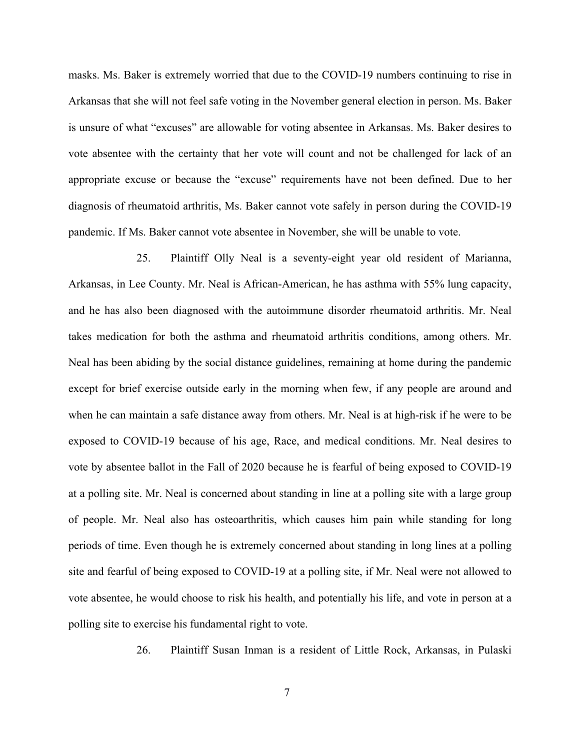masks. Ms. Baker is extremely worried that due to the COVID-19 numbers continuing to rise in Arkansas that she will not feel safe voting in the November general election in person. Ms. Baker is unsure of what "excuses" are allowable for voting absentee in Arkansas. Ms. Baker desires to vote absentee with the certainty that her vote will count and not be challenged for lack of an appropriate excuse or because the "excuse" requirements have not been defined. Due to her diagnosis of rheumatoid arthritis, Ms. Baker cannot vote safely in person during the COVID-19 pandemic. If Ms. Baker cannot vote absentee in November, she will be unable to vote.

25. Plaintiff Olly Neal is a seventy-eight year old resident of Marianna, Arkansas, in Lee County. Mr. Neal is African-American, he has asthma with 55% lung capacity, and he has also been diagnosed with the autoimmune disorder rheumatoid arthritis. Mr. Neal takes medication for both the asthma and rheumatoid arthritis conditions, among others. Mr. Neal has been abiding by the social distance guidelines, remaining at home during the pandemic except for brief exercise outside early in the morning when few, if any people are around and when he can maintain a safe distance away from others. Mr. Neal is at high-risk if he were to be exposed to COVID-19 because of his age, Race, and medical conditions. Mr. Neal desires to vote by absentee ballot in the Fall of 2020 because he is fearful of being exposed to COVID-19 at a polling site. Mr. Neal is concerned about standing in line at a polling site with a large group of people. Mr. Neal also has osteoarthritis, which causes him pain while standing for long periods of time. Even though he is extremely concerned about standing in long lines at a polling site and fearful of being exposed to COVID-19 at a polling site, if Mr. Neal were not allowed to vote absentee, he would choose to risk his health, and potentially his life, and vote in person at a polling site to exercise his fundamental right to vote.

26. Plaintiff Susan Inman is a resident of Little Rock, Arkansas, in Pulaski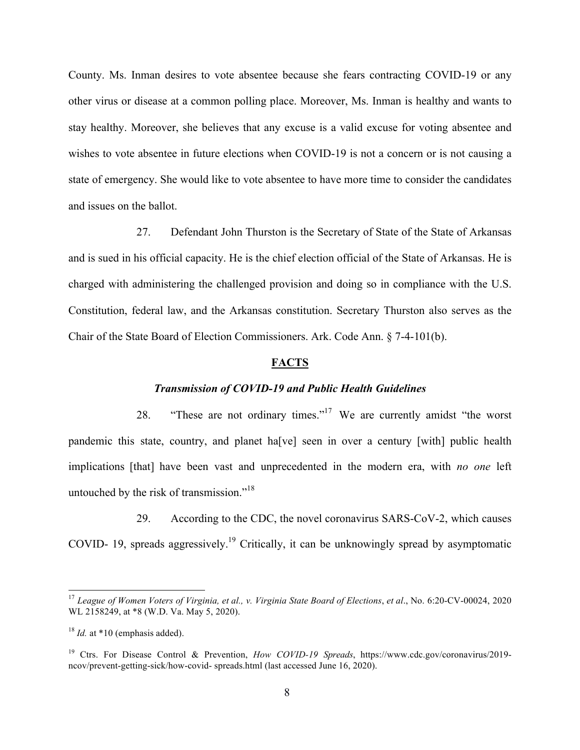County. Ms. Inman desires to vote absentee because she fears contracting COVID-19 or any other virus or disease at a common polling place. Moreover, Ms. Inman is healthy and wants to stay healthy. Moreover, she believes that any excuse is a valid excuse for voting absentee and wishes to vote absentee in future elections when COVID-19 is not a concern or is not causing a state of emergency. She would like to vote absentee to have more time to consider the candidates and issues on the ballot.

27. Defendant John Thurston is the Secretary of State of the State of Arkansas and is sued in his official capacity. He is the chief election official of the State of Arkansas. He is charged with administering the challenged provision and doing so in compliance with the U.S. Constitution, federal law, and the Arkansas constitution. Secretary Thurston also serves as the Chair of the State Board of Election Commissioners. Ark. Code Ann. § 7-4-101(b).

#### **FACTS**

#### *Transmission of COVID-19 and Public Health Guidelines*

28. "These are not ordinary times."<sup>17</sup> We are currently amidst "the worst pandemic this state, country, and planet ha[ve] seen in over a century [with] public health implications [that] have been vast and unprecedented in the modern era, with *no one* left untouched by the risk of transmission."<sup>18</sup>

29. According to the CDC, the novel coronavirus SARS-CoV-2, which causes COVID- 19, spreads aggressively.<sup>19</sup> Critically, it can be unknowingly spread by asymptomatic

<sup>&</sup>lt;sup>17</sup> League of Women Voters of Virginia, et al., v. Virginia State Board of Elections, et al., No. 6:20-CV-00024, 2020 WL 2158249, at \*8 (W.D. Va. May 5, 2020).

 $18$  *Id.* at  $*10$  (emphasis added).

<sup>19</sup> Ctrs. For Disease Control & Prevention, *How COVID-19 Spreads*, https://www.cdc.gov/coronavirus/2019 ncov/prevent-getting-sick/how-covid- spreads.html (last accessed June 16, 2020).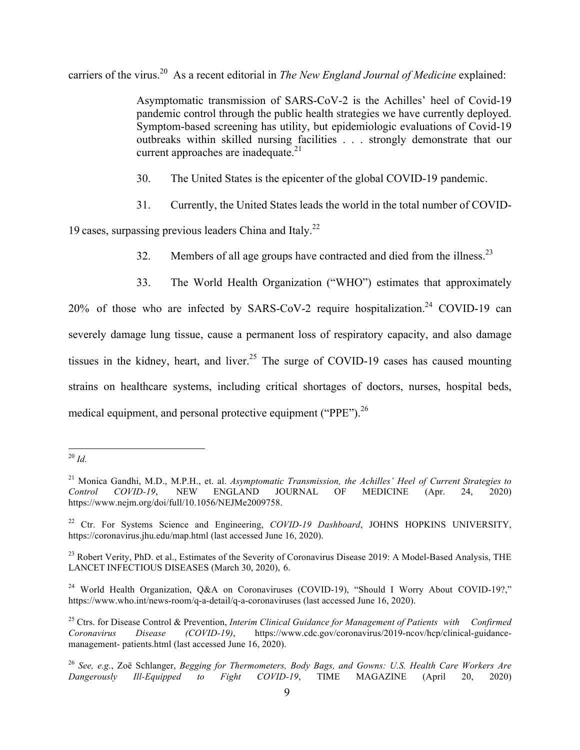carriers of the virus.<sup>20</sup> As a recent editorial in *The New England Journal of Medicine* explained:

Asymptomatic transmission of SARS-CoV-2 is the Achilles' heel of Covid-19 pandemic control through the public health strategies we have currently deployed. Symptom-based screening has utility, but epidemiologic evaluations of Covid-19 outbreaks within skilled nursing facilities . . . strongly demonstrate that our current approaches are inadequate.<sup>21</sup>

- 30. The United States is the epicenter of the global COVID-19 pandemic.
- 31. Currently, the United States leads the world in the total number of COVID-

19 cases, surpassing previous leaders China and Italy.<sup>22</sup>

- 32. Members of all age groups have contracted and died from the illness.<sup>23</sup>
- 33. The World Health Organization ("WHO") estimates that approximately

 $20\%$  of those who are infected by SARS-CoV-2 require hospitalization.<sup>24</sup> COVID-19 can severely damage lung tissue, cause a permanent loss of respiratory capacity, and also damage tissues in the kidney, heart, and liver.<sup>25</sup> The surge of COVID-19 cases has caused mounting strains on healthcare systems, including critical shortages of doctors, nurses, hospital beds, medical equipment, and personal protective equipment ("PPE").<sup>26</sup>

 <sup>20</sup> *Id.*

<sup>&</sup>lt;sup>21</sup> Monica Gandhi, M.D., M.P.H., et. al. *Asymptomatic Transmission, the Achilles' Heel of Current Strategies to*<br> *Control* COVID-19. NEW ENGLAND JOURNAL OF MEDICINE (Apr. 24. 2020) *Control COVID-19*, NEW ENGLAND JOURNAL OF MEDICINE (Apr. 24, 2020) https://www.nejm.org/doi/full/10.1056/NEJMe2009758.

<sup>&</sup>lt;sup>22</sup> Ctr. For Systems Science and Engineering, *COVID-19 Dashboard*, JOHNS HOPKINS UNIVERSITY, https://coronavirus.jhu.edu/map.html (last accessed June 16, 2020).

 $^{23}$  Robert Verity, PhD. et al., Estimates of the Severity of Coronavirus Disease 2019: A Model-Based Analysis, THE LANCET INFECTIOUS DISEASES (March 30, 2020), 6.

<sup>&</sup>lt;sup>24</sup> World Health Organization, Q&A on Coronaviruses (COVID-19), "Should I Worry About COVID-19?," https://www.who.int/news-room/q-a-detail/q-a-coronaviruses (last accessed June 16, 2020).

<sup>25</sup> Ctrs. for Disease Control & Prevention, *Interim Clinical Guidance for Management of Patients with Confirmed Coronavirus Disease (COVID-19)*, https://www.cdc.gov/coronavirus/2019-ncov/hcp/clinical-guidancemanagement- patients.html (last accessed June 16, 2020).

<sup>26</sup> *See, e.g.*, Zoë Schlanger, *Begging for Thermometers, Body Bags, and Gowns: U.S. Health Care Workers Are Dangerously Ill-Equipped to Fight COVID-19*, TIME MAGAZINE (April 20, 2020)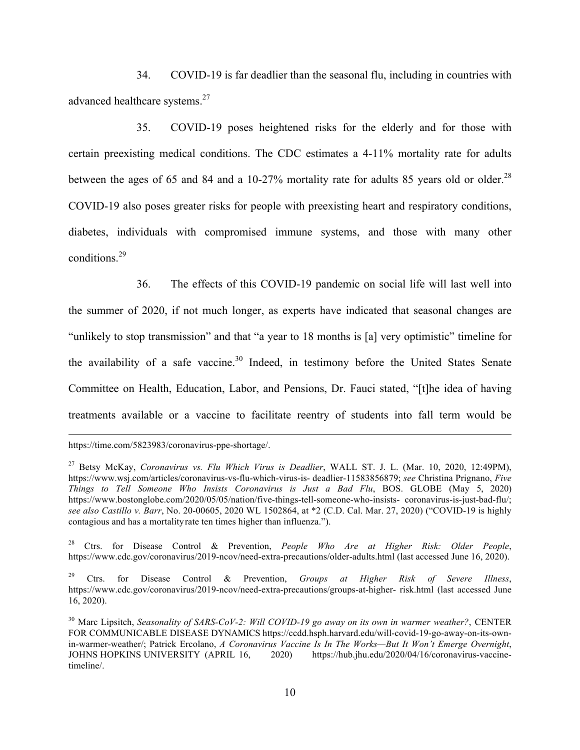34. COVID-19 is far deadlier than the seasonal flu, including in countries with advanced healthcare systems.<sup>27</sup>

35. COVID-19 poses heightened risks for the elderly and for those with certain preexisting medical conditions. The CDC estimates a 4-11% mortality rate for adults between the ages of 65 and 84 and a 10-27% mortality rate for adults 85 years old or older.<sup>28</sup> COVID-19 also poses greater risks for people with preexisting heart and respiratory conditions, diabetes, individuals with compromised immune systems, and those with many other conditions.<sup>29</sup>

36. The effects of this COVID-19 pandemic on social life will last well into the summer of 2020, if not much longer, as experts have indicated that seasonal changes are "unlikely to stop transmission" and that "a year to 18 months is [a] very optimistic" timeline for the availability of a safe vaccine.<sup>30</sup> Indeed, in testimony before the United States Senate Committee on Health, Education, Labor, and Pensions, Dr. Fauci stated, "[t]he idea of having treatments available or a vaccine to facilitate reentry of students into fall term would be

 $\overline{a}$ 

28 Ctrs. for Disease Control & Prevention, *People Who Are at Higher Risk: Older People*, https://www.cdc.gov/coronavirus/2019-ncov/need-extra-precautions/older-adults.html (last accessed June 16, 2020).

https://time.com/5823983/coronavirus-ppe-shortage/.

<sup>27</sup> Betsy McKay, *Coronavirus vs. Flu Which Virus is Deadlier*, WALL ST. J. L. (Mar. 10, 2020, 12:49PM), https://www.wsj.com/articles/coronavirus-vs-flu-which-virus-is- deadlier-11583856879; *see* Christina Prignano, *Five Things to Tell Someone Who Insists Coronavirus is Just a Bad Flu*, BOS. GLOBE (May 5, 2020) https://www.bostonglobe.com/2020/05/05/nation/five-things-tell-someone-who-insists- coronavirus-is-just-bad-flu/; *see also Castillo v. Barr*, No. 20-00605, 2020 WL 1502864, at \*2 (C.D. Cal. Mar. 27, 2020) ("COVID-19 is highly contagious and has a mortalityrate ten times higher than influenza.").

<sup>29</sup> Ctrs. for Disease Control & Prevention, *Groups at Higher Risk of Severe Illness*, https://www.cdc.gov/coronavirus/2019-ncov/need-extra-precautions/groups-at-higher- risk.html (last accessed June 16, 2020).

<sup>30</sup> Marc Lipsitch, *Seasonality of SARS-CoV-2: Will COVID-19 go away on its own in warmer weather?*, CENTER FOR COMMUNICABLE DISEASE DYNAMICS https://ccdd.hsph.harvard.edu/will-covid-19-go-away-on-its-ownin-warmer-weather/; Patrick Ercolano, *A Coronavirus Vaccine Is In The Works—But It Won't Emerge Overnight*, JOHNS HOPKINS UNIVERSITY (APRIL 16, 2020) https://hub.jhu.edu/2020/04/16/coronavirus-vaccinetimeline/.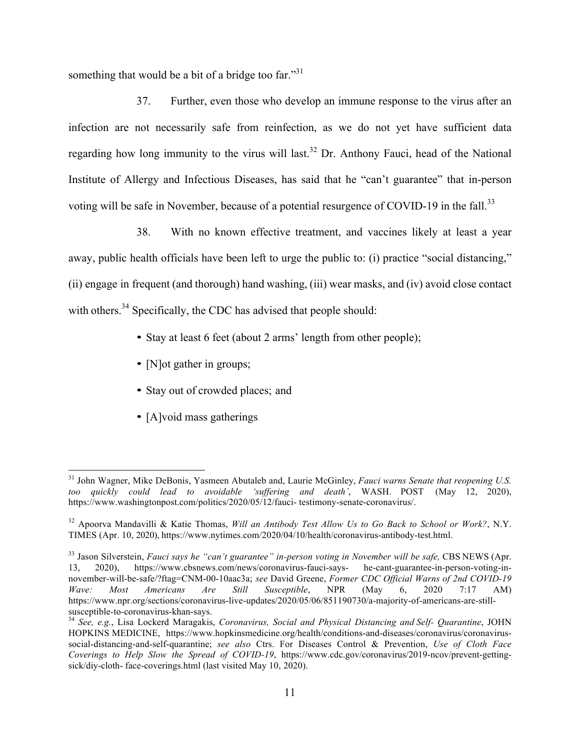something that would be a bit of a bridge too far." $31$ 

37. Further, even those who develop an immune response to the virus after an infection are not necessarily safe from reinfection, as we do not yet have sufficient data regarding how long immunity to the virus will last.<sup>32</sup> Dr. Anthony Fauci, head of the National Institute of Allergy and Infectious Diseases, has said that he "can't guarantee" that in-person voting will be safe in November, because of a potential resurgence of COVID-19 in the fall.<sup>33</sup>

38. With no known effective treatment, and vaccines likely at least a year away, public health officials have been left to urge the public to: (i) practice "social distancing," (ii) engage in frequent (and thorough) hand washing, (iii) wear masks, and (iv) avoid close contact with others.<sup>34</sup> Specifically, the CDC has advised that people should:

- Stay at least 6 feet (about 2 arms' length from other people);
- [N]ot gather in groups;
- Stay out of crowded places; and
- [A]void mass gatherings

 <sup>31</sup> John Wagner, Mike DeBonis, Yasmeen Abutaleb and, Laurie McGinley, *Fauci warns Senate that reopening U.S. too quickly could lead to avoidable 'suffering and death'*, WASH. POST (May 12, 2020), https://www.washingtonpost.com/politics/2020/05/12/fauci- testimony-senate-coronavirus/.

<sup>32</sup> Apoorva Mandavilli & Katie Thomas, *Will an Antibody Test Allow Us to Go Back to School or Work?*, N.Y. TIMES (Apr. 10, 2020), https://www.nytimes.com/2020/04/10/health/coronavirus-antibody-test.html.

<sup>33</sup> Jason Silverstein, *Fauci says he "can't guarantee" in-person voting in November will be safe,* CBS NEWS (Apr. 13, 2020), https://www.cbsnews.com/news/coronavirus-fauci-says- he-cant-guarantee-in-person-voting-innovember-will-be-safe/?ftag=CNM-00-10aac3a; *see* David Greene, *Former CDC Official Warns of 2nd COVID-19 Wave: Most Americans Are Still Susceptible*, NPR (May 6, 2020 7:17 AM) https://www.npr.org/sections/coronavirus-live-updates/2020/05/06/851190730/a-majority-of-americans-are-stillsusceptible-to-coronavirus-khan-says. <sup>34</sup> *See, e.g.*, Lisa Lockerd Maragakis, *Coronavirus, Social and Physical Distancing and Self- Quarantine*, JOHN

HOPKINS MEDICINE, https://www.hopkinsmedicine.org/health/conditions-and-diseases/coronavirus/coronavirussocial-distancing-and-self-quarantine; *see also* Ctrs. For Diseases Control & Prevention, *Use of Cloth Face Coverings to Help Slow the Spread of COVID-19*, https://www.cdc.gov/coronavirus/2019-ncov/prevent-gettingsick/diy-cloth- face-coverings.html (last visited May 10, 2020).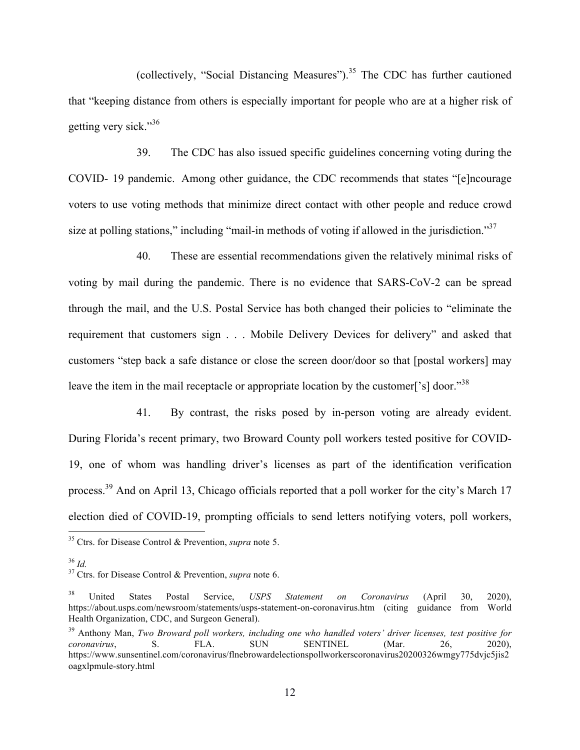(collectively, "Social Distancing Measures").<sup>35</sup> The CDC has further cautioned that "keeping distance from others is especially important for people who are at a higher risk of getting very sick."<sup>36</sup>

39. The CDC has also issued specific guidelines concerning voting during the COVID- 19 pandemic. Among other guidance, the CDC recommends that states "[e]ncourage voters to use voting methods that minimize direct contact with other people and reduce crowd size at polling stations," including "mail-in methods of voting if allowed in the jurisdiction."<sup>37</sup>

40. These are essential recommendations given the relatively minimal risks of voting by mail during the pandemic. There is no evidence that SARS-CoV-2 can be spread through the mail, and the U.S. Postal Service has both changed their policies to "eliminate the requirement that customers sign . . . Mobile Delivery Devices for delivery" and asked that customers "step back a safe distance or close the screen door/door so that [postal workers] may leave the item in the mail receptacle or appropriate location by the customer<sup>['s]</sup> door.<sup>"38</sup>

41. By contrast, the risks posed by in-person voting are already evident. During Florida's recent primary, two Broward County poll workers tested positive for COVID-19, one of whom was handling driver's licenses as part of the identification verification process.<sup>39</sup> And on April 13, Chicago officials reported that a poll worker for the city's March 17 election died of COVID-19, prompting officials to send letters notifying voters, poll workers,

 <sup>35</sup> Ctrs. for Disease Control & Prevention, *supra* note 5.

<sup>36</sup> *Id.* <sup>37</sup> Ctrs. for Disease Control & Prevention, *supra* note 6.

<sup>38</sup> United States Postal Service, *USPS Statement on Coronavirus* (April 30, 2020), https://about.usps.com/newsroom/statements/usps-statement-on-coronavirus.htm (citing guidance from World Health Organization, CDC, and Surgeon General).

<sup>39</sup> Anthony Man, *Two Broward poll workers, including one who handled voters' driver licenses, test positive for coronavirus*, S. FLA. SUN SENTINEL (Mar. 26, 2020), https://www.sunsentinel.com/coronavirus/flnebrowardelectionspollworkerscoronavirus20200326wmgy775dvjc5jis2 oagxlpmule-story.html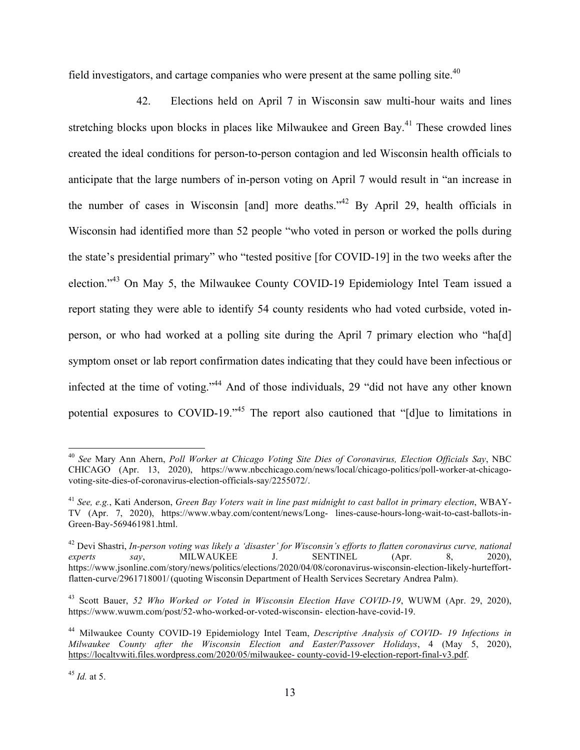field investigators, and cartage companies who were present at the same polling site. $40$ 

42. Elections held on April 7 in Wisconsin saw multi-hour waits and lines stretching blocks upon blocks in places like Milwaukee and Green Bay.<sup>41</sup> These crowded lines created the ideal conditions for person-to-person contagion and led Wisconsin health officials to anticipate that the large numbers of in-person voting on April 7 would result in "an increase in the number of cases in Wisconsin [and] more deaths.<sup> $142$ </sup> By April 29, health officials in Wisconsin had identified more than 52 people "who voted in person or worked the polls during the state's presidential primary" who "tested positive [for COVID-19] in the two weeks after the election."<sup>43</sup> On May 5, the Milwaukee County COVID-19 Epidemiology Intel Team issued a report stating they were able to identify 54 county residents who had voted curbside, voted inperson, or who had worked at a polling site during the April 7 primary election who "ha[d] symptom onset or lab report confirmation dates indicating that they could have been infectious or infected at the time of voting."<sup>44</sup> And of those individuals, 29 "did not have any other known potential exposures to COVID-19."<sup>45</sup> The report also cautioned that "[d]ue to limitations in

 <sup>40</sup> *See* Mary Ann Ahern, *Poll Worker at Chicago Voting Site Dies of Coronavirus, Election Officials Say*, NBC CHICAGO (Apr. 13, 2020), https://www.nbcchicago.com/news/local/chicago-politics/poll-worker-at-chicagovoting-site-dies-of-coronavirus-election-officials-say/2255072/.

<sup>41</sup> *See, e.g.*, Kati Anderson, *Green Bay Voters wait in line past midnight to cast ballot in primary election*, WBAY-TV (Apr. 7, 2020), https://www.wbay.com/content/news/Long- lines-cause-hours-long-wait-to-cast-ballots-in-Green-Bay-569461981.html.

<sup>42</sup> Devi Shastri, *In-person voting was likely a 'disaster' for Wisconsin's efforts to flatten coronavirus curve, national experts say*, MILWAUKEE J. SENTINEL (Apr. 8, 2020), https://www.jsonline.com/story/news/politics/elections/2020/04/08/coronavirus-wisconsin-election-likely-hurteffortflatten-curve/2961718001/(quoting Wisconsin Department of Health Services Secretary Andrea Palm).

<sup>43</sup> Scott Bauer, *52 Who Worked or Voted in Wisconsin Election Have COVID-19*, WUWM (Apr. 29, 2020), https://www.wuwm.com/post/52-who-worked-or-voted-wisconsin- election-have-covid-19.

<sup>44</sup> Milwaukee County COVID-19 Epidemiology Intel Team, *Descriptive Analysis of COVID- 19 Infections in Milwaukee County after the Wisconsin Election and Easter/Passover Holidays*, 4 (May 5, 2020), https://localtvwiti.files.wordpress.com/2020/05/milwaukee- county-covid-19-election-report-final-v3.pdf.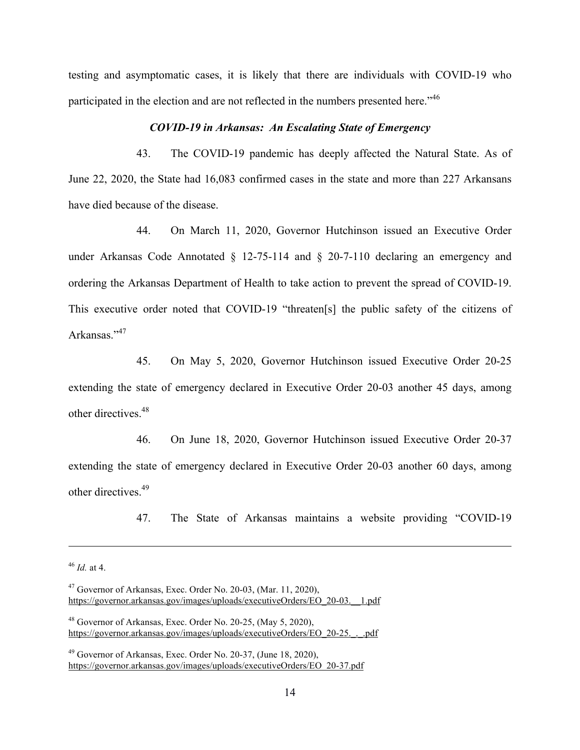testing and asymptomatic cases, it is likely that there are individuals with COVID-19 who participated in the election and are not reflected in the numbers presented here."<sup>46</sup>

#### *COVID-19 in Arkansas: An Escalating State of Emergency*

43. The COVID-19 pandemic has deeply affected the Natural State. As of June 22, 2020, the State had 16,083 confirmed cases in the state and more than 227 Arkansans have died because of the disease.

44. On March 11, 2020, Governor Hutchinson issued an Executive Order under Arkansas Code Annotated § 12-75-114 and § 20-7-110 declaring an emergency and ordering the Arkansas Department of Health to take action to prevent the spread of COVID-19. This executive order noted that COVID-19 "threaten[s] the public safety of the citizens of Arkansas."<sup>47</sup>

45. On May 5, 2020, Governor Hutchinson issued Executive Order 20-25 extending the state of emergency declared in Executive Order 20-03 another 45 days, among other directives. 48

46. On June 18, 2020, Governor Hutchinson issued Executive Order 20-37 extending the state of emergency declared in Executive Order 20-03 another 60 days, among other directives. 49

47. The State of Arkansas maintains a website providing "COVID-19

l

<sup>46</sup> *Id.* at 4.

 $47$  Governor of Arkansas, Exec. Order No. 20-03, (Mar. 11, 2020), https://governor.arkansas.gov/images/uploads/executiveOrders/EO\_20-03.\_\_1.pdf

 $48$  Governor of Arkansas, Exec. Order No. 20-25, (May 5, 2020), https://governor.arkansas.gov/images/uploads/executiveOrders/EO\_20-25.\_.\_.pdf

 $49$  Governor of Arkansas, Exec. Order No. 20-37, (June 18, 2020), https://governor.arkansas.gov/images/uploads/executiveOrders/EO\_20-37.pdf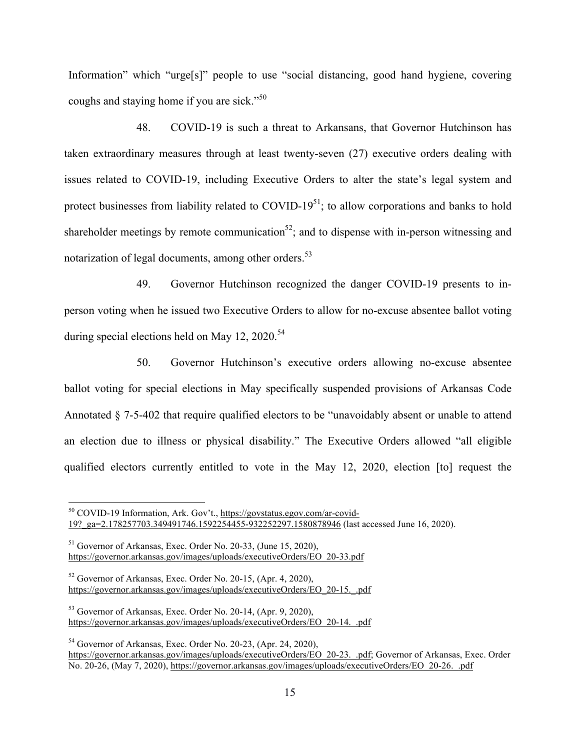Information" which "urge[s]" people to use "social distancing, good hand hygiene, covering coughs and staying home if you are sick."<sup>50</sup>

48. COVID-19 is such a threat to Arkansans, that Governor Hutchinson has taken extraordinary measures through at least twenty-seven (27) executive orders dealing with issues related to COVID-19, including Executive Orders to alter the state's legal system and protect businesses from liability related to COVID- $19<sup>51</sup>$ ; to allow corporations and banks to hold shareholder meetings by remote communication<sup>52</sup>; and to dispense with in-person witnessing and notarization of legal documents, among other orders.<sup>53</sup>

49. Governor Hutchinson recognized the danger COVID-19 presents to inperson voting when he issued two Executive Orders to allow for no-excuse absentee ballot voting during special elections held on May 12, 2020.<sup>54</sup>

50. Governor Hutchinson's executive orders allowing no-excuse absentee ballot voting for special elections in May specifically suspended provisions of Arkansas Code Annotated § 7-5-402 that require qualified electors to be "unavoidably absent or unable to attend an election due to illness or physical disability." The Executive Orders allowed "all eligible qualified electors currently entitled to vote in the May 12, 2020, election [to] request the

54 Governor of Arkansas, Exec. Order No. 20-23, (Apr. 24, 2020), https://governor.arkansas.gov/images/uploads/executiveOrders/EO\_20-23.\_.pdf; Governor of Arkansas, Exec. Order No. 20-26, (May 7, 2020), https://governor.arkansas.gov/images/uploads/executiveOrders/EO\_20-26.\_.pdf

 <sup>50</sup> COVID-19 Information, Ark. Gov't., https://govstatus.egov.com/ar-covid-19?\_ga=2.178257703.349491746.1592254455-932252297.1580878946 (last accessed June 16, 2020).

<sup>51</sup> Governor of Arkansas, Exec. Order No. 20-33, (June 15, 2020), https://governor.arkansas.gov/images/uploads/executiveOrders/EO\_20-33.pdf

<sup>52</sup> Governor of Arkansas, Exec. Order No. 20-15, (Apr. 4, 2020), https://governor.arkansas.gov/images/uploads/executiveOrders/EO\_20-15.\_.pdf

<sup>53</sup> Governor of Arkansas, Exec. Order No. 20-14, (Apr. 9, 2020), https://governor.arkansas.gov/images/uploads/executiveOrders/EO\_20-14.\_.pdf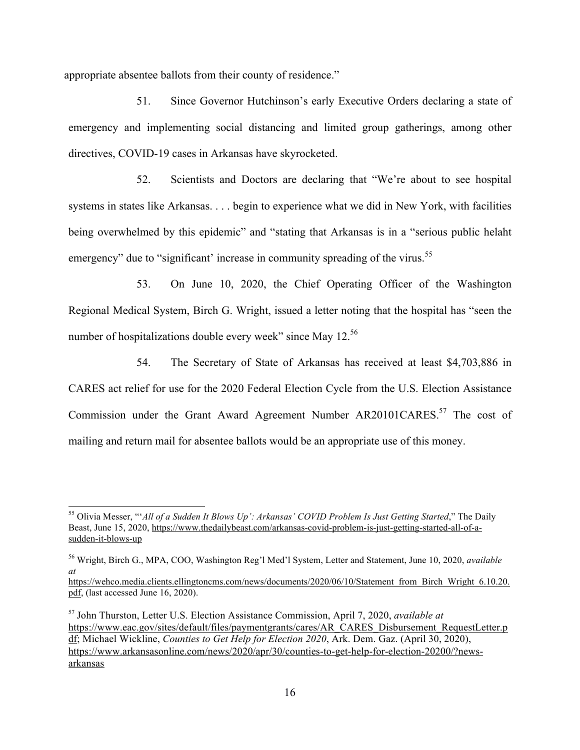appropriate absentee ballots from their county of residence."

51. Since Governor Hutchinson's early Executive Orders declaring a state of emergency and implementing social distancing and limited group gatherings, among other directives, COVID-19 cases in Arkansas have skyrocketed.

52. Scientists and Doctors are declaring that "We're about to see hospital systems in states like Arkansas. . . . begin to experience what we did in New York, with facilities being overwhelmed by this epidemic" and "stating that Arkansas is in a "serious public helaht emergency" due to "significant' increase in community spreading of the virus.<sup>55</sup>

53. On June 10, 2020, the Chief Operating Officer of the Washington Regional Medical System, Birch G. Wright, issued a letter noting that the hospital has "seen the number of hospitalizations double every week" since May 12.<sup>56</sup>

54. The Secretary of State of Arkansas has received at least \$4,703,886 in CARES act relief for use for the 2020 Federal Election Cycle from the U.S. Election Assistance Commission under the Grant Award Agreement Number AR20101CARES.<sup>57</sup> The cost of mailing and return mail for absentee ballots would be an appropriate use of this money.

 <sup>55</sup> Olivia Messer, "'*All of a Sudden It Blows Up': Arkansas' COVID Problem Is Just Getting Started*," The Daily Beast, June 15, 2020, https://www.thedailybeast.com/arkansas-covid-problem-is-just-getting-started-all-of-asudden-it-blows-up

<sup>56</sup> Wright, Birch G., MPA, COO, Washington Reg'l Med'l System, Letter and Statement, June 10, 2020, *available at*

https://wehco.media.clients.ellingtoncms.com/news/documents/2020/06/10/Statement\_from\_Birch\_Wright\_6.10.20. pdf, (last accessed June 16, 2020).

<sup>57</sup> John Thurston, Letter U.S. Election Assistance Commission, April 7, 2020, *available at* https://www.eac.gov/sites/default/files/paymentgrants/cares/AR\_CARES\_Disbursement\_RequestLetter.p df; Michael Wickline, *Counties to Get Help for Election 2020*, Ark. Dem. Gaz. (April 30, 2020), https://www.arkansasonline.com/news/2020/apr/30/counties-to-get-help-for-election-20200/?newsarkansas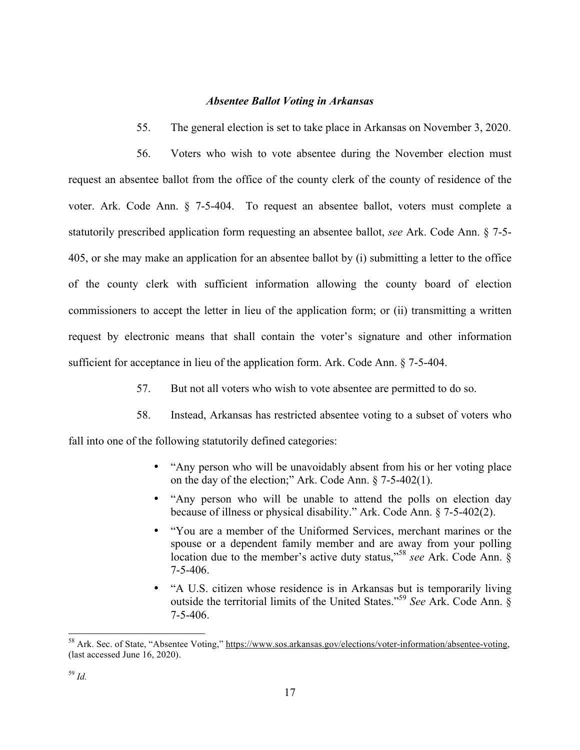### *Absentee Ballot Voting in Arkansas*

55. The general election is set to take place in Arkansas on November 3, 2020.

56. Voters who wish to vote absentee during the November election must request an absentee ballot from the office of the county clerk of the county of residence of the voter. Ark. Code Ann. § 7-5-404. To request an absentee ballot, voters must complete a statutorily prescribed application form requesting an absentee ballot, *see* Ark. Code Ann. § 7-5- 405, or she may make an application for an absentee ballot by (i) submitting a letter to the office of the county clerk with sufficient information allowing the county board of election commissioners to accept the letter in lieu of the application form; or (ii) transmitting a written request by electronic means that shall contain the voter's signature and other information sufficient for acceptance in lieu of the application form. Ark. Code Ann. § 7-5-404.

- 57. But not all voters who wish to vote absentee are permitted to do so.
- 58. Instead, Arkansas has restricted absentee voting to a subset of voters who

fall into one of the following statutorily defined categories:

- "Any person who will be unavoidably absent from his or her voting place on the day of the election;" Ark. Code Ann. § 7-5-402(1).
- "Any person who will be unable to attend the polls on election day because of illness or physical disability." Ark. Code Ann. § 7-5-402(2).
- "You are a member of the Uniformed Services, merchant marines or the spouse or a dependent family member and are away from your polling location due to the member's active duty status," 58 *see* Ark. Code Ann. § 7-5-406.
- "A U.S. citizen whose residence is in Arkansas but is temporarily living outside the territorial limits of the United States." <sup>59</sup> *See* Ark. Code Ann. § 7-5-406.

 <sup>58</sup> Ark. Sec. of State, "Absentee Voting," https://www.sos.arkansas.gov/elections/voter-information/absentee-voting, (last accessed June 16, 2020).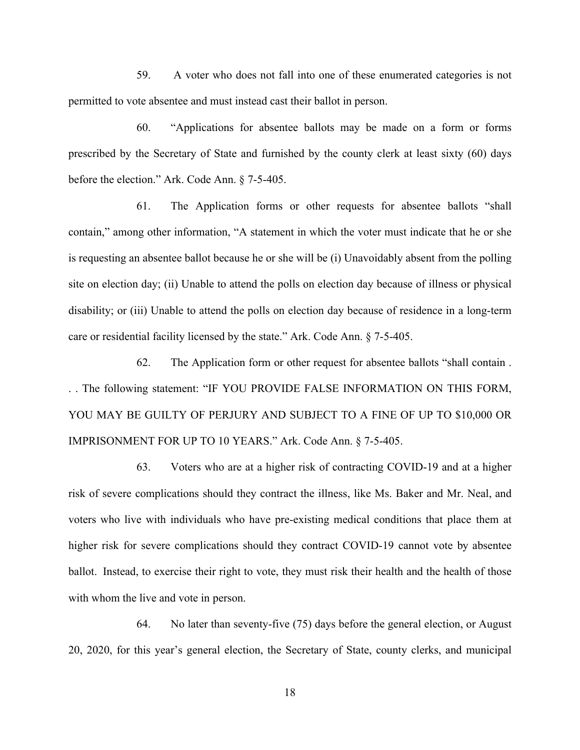59. A voter who does not fall into one of these enumerated categories is not permitted to vote absentee and must instead cast their ballot in person.

60. "Applications for absentee ballots may be made on a form or forms prescribed by the Secretary of State and furnished by the county clerk at least sixty (60) days before the election." Ark. Code Ann. § 7-5-405.

61. The Application forms or other requests for absentee ballots "shall contain," among other information, "A statement in which the voter must indicate that he or she is requesting an absentee ballot because he or she will be (i) Unavoidably absent from the polling site on election day; (ii) Unable to attend the polls on election day because of illness or physical disability; or (iii) Unable to attend the polls on election day because of residence in a long-term care or residential facility licensed by the state." Ark. Code Ann. § 7-5-405.

62. The Application form or other request for absentee ballots "shall contain . . . The following statement: "IF YOU PROVIDE FALSE INFORMATION ON THIS FORM, YOU MAY BE GUILTY OF PERJURY AND SUBJECT TO A FINE OF UP TO \$10,000 OR IMPRISONMENT FOR UP TO 10 YEARS." Ark. Code Ann. § 7-5-405.

63. Voters who are at a higher risk of contracting COVID-19 and at a higher risk of severe complications should they contract the illness, like Ms. Baker and Mr. Neal, and voters who live with individuals who have pre-existing medical conditions that place them at higher risk for severe complications should they contract COVID-19 cannot vote by absentee ballot. Instead, to exercise their right to vote, they must risk their health and the health of those with whom the live and vote in person.

64. No later than seventy-five (75) days before the general election, or August 20, 2020, for this year's general election, the Secretary of State, county clerks, and municipal

18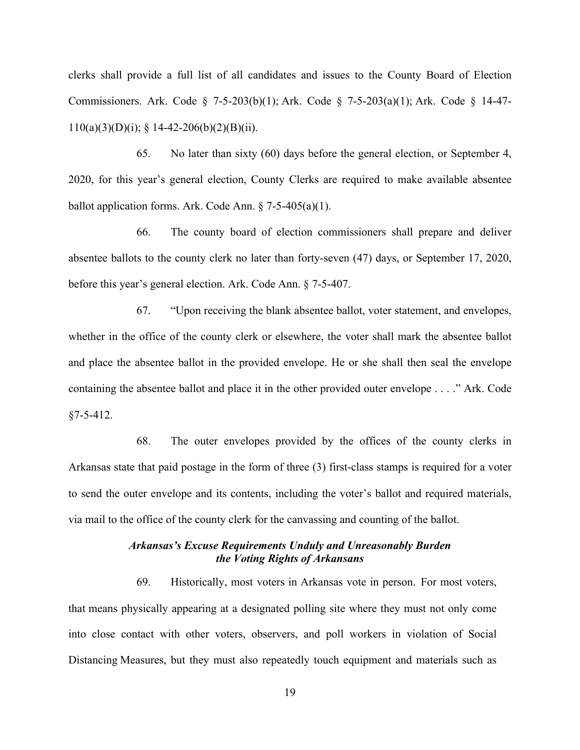clerks shall provide a full list of all candidates and issues to the County Board of Election Commissioners. Ark. Code § 7-5-203(b)(1); Ark. Code § 7-5-203(a)(1); Ark. Code § 14-47-  $110(a)(3)(D)(i)$ ; § 14-42-206(b)(2)(B)(ii).

65. No later than sixty (60) days before the general election, or September 4, 2020, for this year's general election, County Clerks are required to make available absentee ballot application forms. Ark. Code Ann. § 7-5-405(a)(1).

66. The county board of election commissioners shall prepare and deliver absentee ballots to the county clerk no later than forty-seven (47) days, or September 17, 2020, before this year's general election. Ark. Code Ann. § 7-5-407.

67. "Upon receiving the blank absentee ballot, voter statement, and envelopes, whether in the office of the county clerk or elsewhere, the voter shall mark the absentee ballot and place the absentee ballot in the provided envelope. He or she shall then seal the envelope containing the absentee ballot and place it in the other provided outer envelope . . . ." Ark. Code  $$7-5-412$ .

68. The outer envelopes provided by the offices of the county clerks in Arkansas state that paid postage in the form of three (3) first-class stamps is required for a voter to send the outer envelope and its contents, including the voter's ballot and required materials, via mail to the office of the county clerk for the canvassing and counting of the ballot.

## *Arkansas's Excuse Requirements Unduly and Unreasonably Burden the Voting Rights of Arkansans*

69. Historically, most voters in Arkansas vote in person. For most voters, that means physically appearing at a designated polling site where they must not only come into close contact with other voters, observers, and poll workers in violation of Social Distancing Measures, but they must also repeatedly touch equipment and materials such as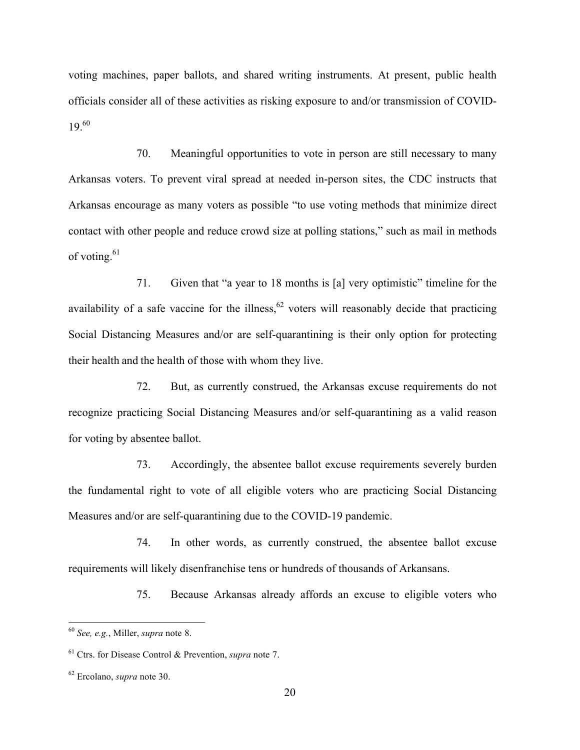voting machines, paper ballots, and shared writing instruments. At present, public health officials consider all of these activities as risking exposure to and/or transmission of COVID-19. 60

70. Meaningful opportunities to vote in person are still necessary to many Arkansas voters. To prevent viral spread at needed in-person sites, the CDC instructs that Arkansas encourage as many voters as possible "to use voting methods that minimize direct contact with other people and reduce crowd size at polling stations," such as mail in methods of voting.<sup>61</sup>

71. Given that "a year to 18 months is [a] very optimistic" timeline for the availability of a safe vaccine for the illness,  $62$  voters will reasonably decide that practicing Social Distancing Measures and/or are self-quarantining is their only option for protecting their health and the health of those with whom they live.

72. But, as currently construed, the Arkansas excuse requirements do not recognize practicing Social Distancing Measures and/or self-quarantining as a valid reason for voting by absentee ballot.

73. Accordingly, the absentee ballot excuse requirements severely burden the fundamental right to vote of all eligible voters who are practicing Social Distancing Measures and/or are self-quarantining due to the COVID-19 pandemic.

74. In other words, as currently construed, the absentee ballot excuse requirements will likely disenfranchise tens or hundreds of thousands of Arkansans.

75. Because Arkansas already affords an excuse to eligible voters who

 <sup>60</sup> *See, e.g.*, Miller, *supra* note 8.

<sup>61</sup> Ctrs. for Disease Control & Prevention, *supra* note 7.

<sup>62</sup> Ercolano, *supra* note 30.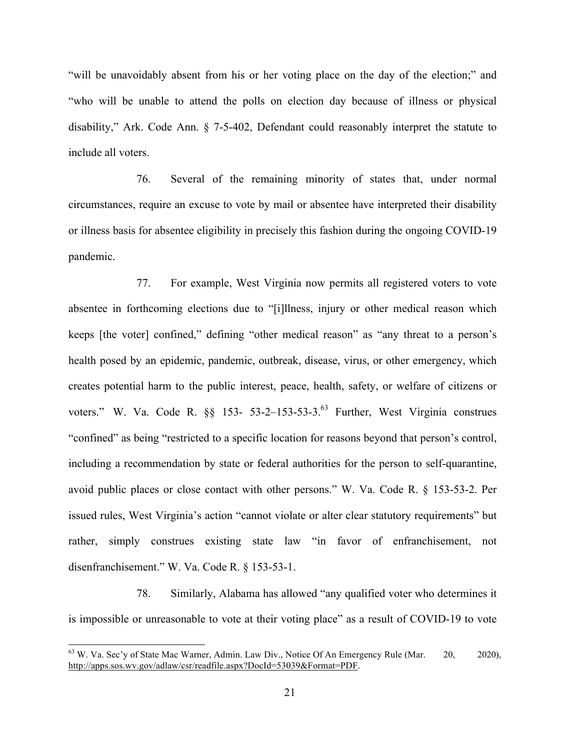"will be unavoidably absent from his or her voting place on the day of the election;" and "who will be unable to attend the polls on election day because of illness or physical disability," Ark. Code Ann. § 7-5-402, Defendant could reasonably interpret the statute to include all voters.

76. Several of the remaining minority of states that, under normal circumstances, require an excuse to vote by mail or absentee have interpreted their disability or illness basis for absentee eligibility in precisely this fashion during the ongoing COVID-19 pandemic.

77. For example, West Virginia now permits all registered voters to vote absentee in forthcoming elections due to "[i]llness, injury or other medical reason which keeps [the voter] confined," defining "other medical reason" as "any threat to a person's health posed by an epidemic, pandemic, outbreak, disease, virus, or other emergency, which creates potential harm to the public interest, peace, health, safety, or welfare of citizens or voters." W. Va. Code R.  $\S$  153- 53-2-153-53-3.<sup>63</sup> Further, West Virginia construes "confined" as being "restricted to a specific location for reasons beyond that person's control, including a recommendation by state or federal authorities for the person to self-quarantine, avoid public places or close contact with other persons." W. Va. Code R. § 153-53-2. Per issued rules, West Virginia's action "cannot violate or alter clear statutory requirements" but rather, simply construes existing state law "in favor of enfranchisement, not disenfranchisement." W. Va. Code R. § 153-53-1.

78. Similarly, Alabama has allowed "any qualified voter who determines it is impossible or unreasonable to vote at their voting place" as a result of COVID-19 to vote

 $63$  W. Va. Sec'y of State Mac Warner, Admin. Law Div., Notice Of An Emergency Rule (Mar.  $20$ , 2020), http://apps.sos.wv.gov/adlaw/csr/readfile.aspx?DocId=53039&Format=PDF.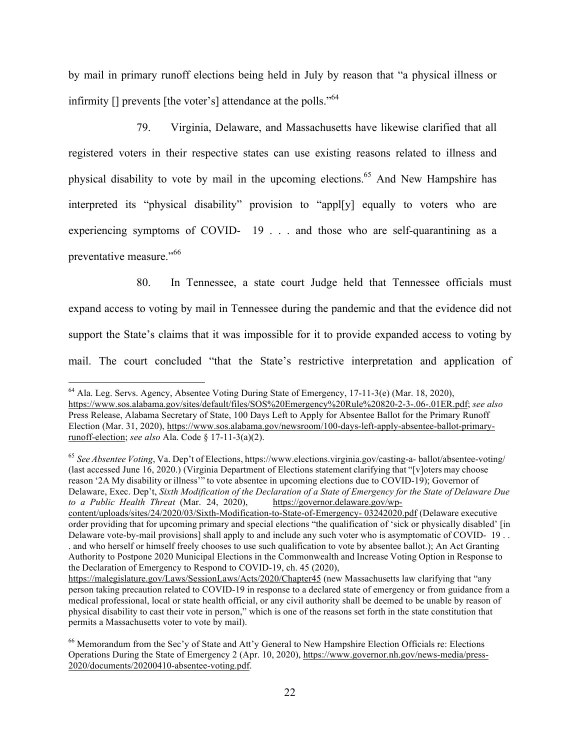by mail in primary runoff elections being held in July by reason that "a physical illness or infirmity [] prevents [the voter's] attendance at the polls."<sup>64</sup>

79. Virginia, Delaware, and Massachusetts have likewise clarified that all registered voters in their respective states can use existing reasons related to illness and physical disability to vote by mail in the upcoming elections. <sup>65</sup> And New Hampshire has interpreted its "physical disability" provision to "appl[y] equally to voters who are experiencing symptoms of COVID- 19 . . . and those who are self-quarantining as a preventative measure." both

80. In Tennessee, a state court Judge held that Tennessee officials must expand access to voting by mail in Tennessee during the pandemic and that the evidence did not support the State's claims that it was impossible for it to provide expanded access to voting by mail. The court concluded "that the State's restrictive interpretation and application of

<sup>65</sup> *See Absentee Voting*, Va. Dep't of Elections, https://www.elections.virginia.gov/casting-a- ballot/absentee-voting/ (last accessed June 16, 2020.) (Virginia Department of Elections statement clarifying that "[v]oters may choose reason '2A My disability or illness'" to vote absentee in upcoming elections due to COVID-19); Governor of Delaware, Exec. Dep't, *Sixth Modification of the Declaration of a State of Emergency for the State of Delaware Due to a Public Health Threat* (Mar. 24, 2020), https://governor.delaware.gov/wpcontent/uploads/sites/24/2020/03/Sixth-Modification-to-State-of-Emergency- 03242020.pdf (Delaware executive order providing that for upcoming primary and special elections "the qualification of 'sick or physically disabled' [in Delaware vote-by-mail provisions] shall apply to and include any such voter who is asymptomatic of COVID- 19...

 <sup>64</sup> Ala. Leg. Servs. Agency, Absentee Voting During State of Emergency, 17-11-3(e) (Mar. 18, 2020), https://www.sos.alabama.gov/sites/default/files/SOS%20Emergency%20Rule%20820-2-3-.06-.01ER.pdf; *see also*  Press Release, Alabama Secretary of State, 100 Days Left to Apply for Absentee Ballot for the Primary Runoff Election (Mar. 31, 2020), https://www.sos.alabama.gov/newsroom/100-days-left-apply-absentee-ballot-primaryrunoff-election; *see also* Ala. Code § 17-11-3(a)(2).

<sup>.</sup> and who herself or himself freely chooses to use such qualification to vote by absentee ballot.); An Act Granting Authority to Postpone 2020 Municipal Elections in the Commonwealth and Increase Voting Option in Response to the Declaration of Emergency to Respond to COVID-19, ch. 45 (2020),

https://malegislature.gov/Laws/SessionLaws/Acts/2020/Chapter45 (new Massachusetts law clarifying that "any person taking precaution related to COVID-19 in response to a declared state of emergency or from guidance from a medical professional, local or state health official, or any civil authority shall be deemed to be unable by reason of physical disability to cast their vote in person," which is one of the reasons set forth in the state constitution that permits a Massachusetts voter to vote by mail).

<sup>&</sup>lt;sup>66</sup> Memorandum from the Sec'y of State and Att'y General to New Hampshire Election Officials re: Elections Operations During the State of Emergency 2 (Apr. 10, 2020), https://www.governor.nh.gov/news-media/press-2020/documents/20200410-absentee-voting.pdf.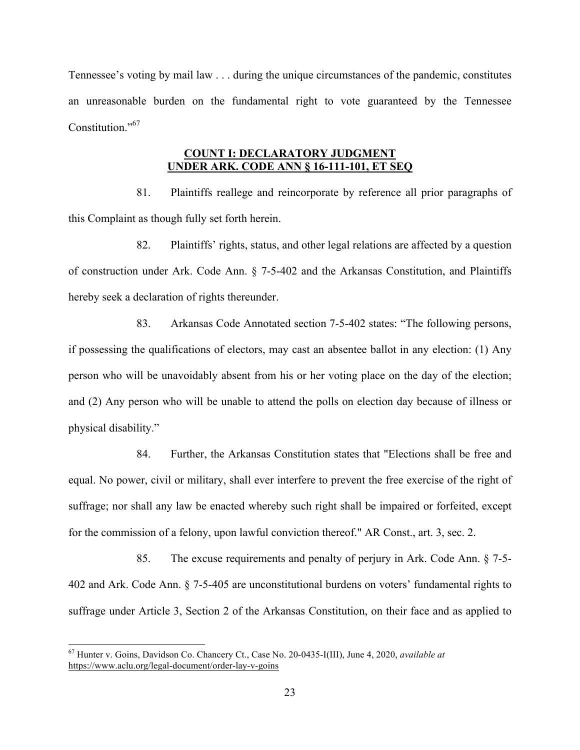Tennessee's voting by mail law . . . during the unique circumstances of the pandemic, constitutes an unreasonable burden on the fundamental right to vote guaranteed by the Tennessee Constitution."<sup>67</sup>

## **COUNT I: DECLARATORY JUDGMENT UNDER ARK. CODE ANN § 16-111-101, ET SEQ**

81. Plaintiffs reallege and reincorporate by reference all prior paragraphs of this Complaint as though fully set forth herein.

82. Plaintiffs' rights, status, and other legal relations are affected by a question of construction under Ark. Code Ann. § 7-5-402 and the Arkansas Constitution, and Plaintiffs hereby seek a declaration of rights thereunder.

83. Arkansas Code Annotated section 7-5-402 states: "The following persons, if possessing the qualifications of electors, may cast an absentee ballot in any election: (1) Any person who will be unavoidably absent from his or her voting place on the day of the election; and (2) Any person who will be unable to attend the polls on election day because of illness or physical disability."

84. Further, the Arkansas Constitution states that "Elections shall be free and equal. No power, civil or military, shall ever interfere to prevent the free exercise of the right of suffrage; nor shall any law be enacted whereby such right shall be impaired or forfeited, except for the commission of a felony, upon lawful conviction thereof." AR Const., art. 3, sec. 2.

85. The excuse requirements and penalty of perjury in Ark. Code Ann. § 7-5- 402 and Ark. Code Ann. § 7-5-405 are unconstitutional burdens on voters' fundamental rights to suffrage under Article 3, Section 2 of the Arkansas Constitution, on their face and as applied to

 <sup>67</sup> Hunter v. Goins, Davidson Co. Chancery Ct., Case No. 20-0435-I(III), June 4, 2020, *available at*  https://www.aclu.org/legal-document/order-lay-v-goins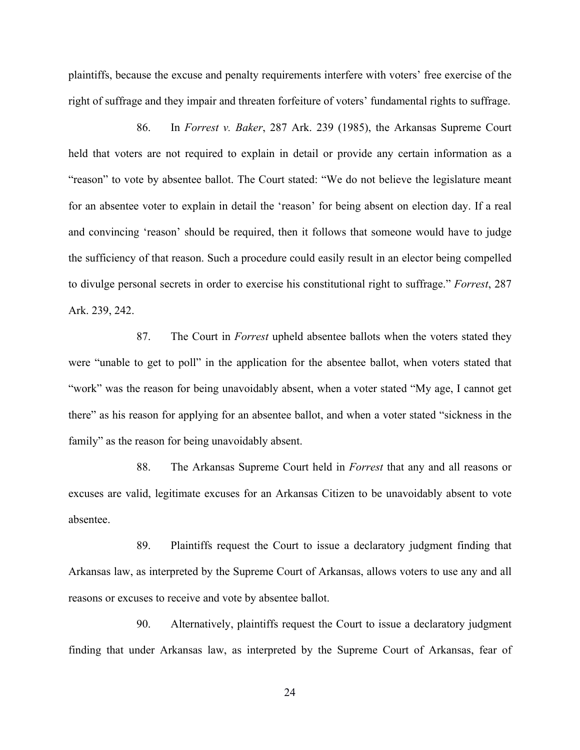plaintiffs, because the excuse and penalty requirements interfere with voters' free exercise of the right of suffrage and they impair and threaten forfeiture of voters' fundamental rights to suffrage.

86. In *Forrest v. Baker*, 287 Ark. 239 (1985), the Arkansas Supreme Court held that voters are not required to explain in detail or provide any certain information as a "reason" to vote by absentee ballot. The Court stated: "We do not believe the legislature meant for an absentee voter to explain in detail the 'reason' for being absent on election day. If a real and convincing 'reason' should be required, then it follows that someone would have to judge the sufficiency of that reason. Such a procedure could easily result in an elector being compelled to divulge personal secrets in order to exercise his constitutional right to suffrage." *Forrest*, 287 Ark. 239, 242.

87. The Court in *Forrest* upheld absentee ballots when the voters stated they were "unable to get to poll" in the application for the absentee ballot, when voters stated that "work" was the reason for being unavoidably absent, when a voter stated "My age, I cannot get there" as his reason for applying for an absentee ballot, and when a voter stated "sickness in the family" as the reason for being unavoidably absent.

88. The Arkansas Supreme Court held in *Forrest* that any and all reasons or excuses are valid, legitimate excuses for an Arkansas Citizen to be unavoidably absent to vote absentee.

89. Plaintiffs request the Court to issue a declaratory judgment finding that Arkansas law, as interpreted by the Supreme Court of Arkansas, allows voters to use any and all reasons or excuses to receive and vote by absentee ballot.

90. Alternatively, plaintiffs request the Court to issue a declaratory judgment finding that under Arkansas law, as interpreted by the Supreme Court of Arkansas, fear of

24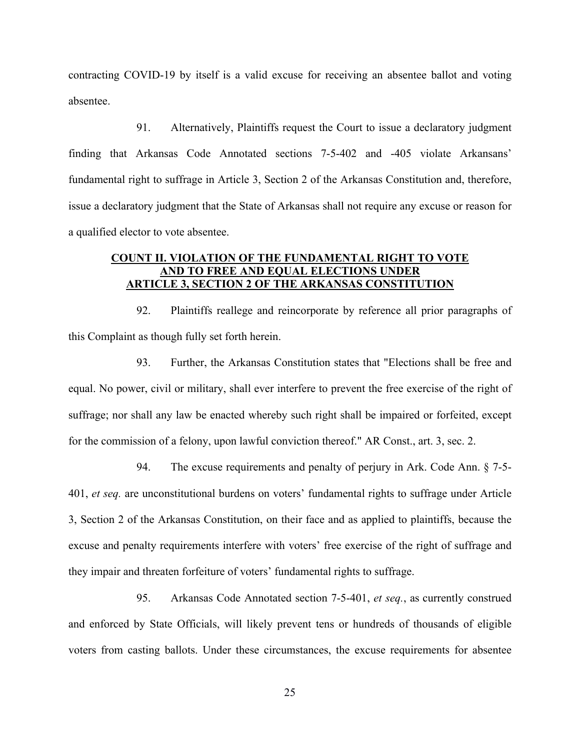contracting COVID-19 by itself is a valid excuse for receiving an absentee ballot and voting absentee.

91. Alternatively, Plaintiffs request the Court to issue a declaratory judgment finding that Arkansas Code Annotated sections 7-5-402 and -405 violate Arkansans' fundamental right to suffrage in Article 3, Section 2 of the Arkansas Constitution and, therefore, issue a declaratory judgment that the State of Arkansas shall not require any excuse or reason for a qualified elector to vote absentee.

# **COUNT II. VIOLATION OF THE FUNDAMENTAL RIGHT TO VOTE AND TO FREE AND EQUAL ELECTIONS UNDER ARTICLE 3, SECTION 2 OF THE ARKANSAS CONSTITUTION**

92. Plaintiffs reallege and reincorporate by reference all prior paragraphs of this Complaint as though fully set forth herein.

93. Further, the Arkansas Constitution states that "Elections shall be free and equal. No power, civil or military, shall ever interfere to prevent the free exercise of the right of suffrage; nor shall any law be enacted whereby such right shall be impaired or forfeited, except for the commission of a felony, upon lawful conviction thereof." AR Const., art. 3, sec. 2.

94. The excuse requirements and penalty of perjury in Ark. Code Ann. § 7-5- 401, *et seq.* are unconstitutional burdens on voters' fundamental rights to suffrage under Article 3, Section 2 of the Arkansas Constitution, on their face and as applied to plaintiffs, because the excuse and penalty requirements interfere with voters' free exercise of the right of suffrage and they impair and threaten forfeiture of voters' fundamental rights to suffrage.

95. Arkansas Code Annotated section 7-5-401, *et seq.*, as currently construed and enforced by State Officials, will likely prevent tens or hundreds of thousands of eligible voters from casting ballots. Under these circumstances, the excuse requirements for absentee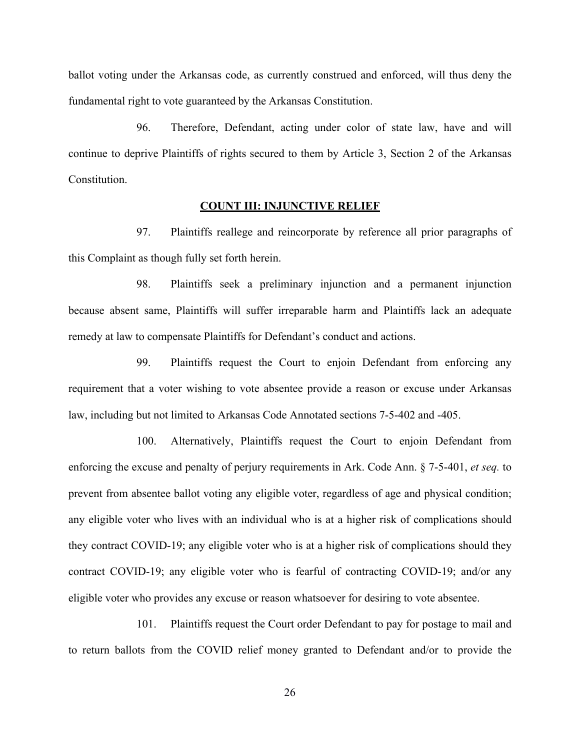ballot voting under the Arkansas code, as currently construed and enforced, will thus deny the fundamental right to vote guaranteed by the Arkansas Constitution.

96. Therefore, Defendant, acting under color of state law, have and will continue to deprive Plaintiffs of rights secured to them by Article 3, Section 2 of the Arkansas Constitution.

## **COUNT III: INJUNCTIVE RELIEF**

97. Plaintiffs reallege and reincorporate by reference all prior paragraphs of this Complaint as though fully set forth herein.

98. Plaintiffs seek a preliminary injunction and a permanent injunction because absent same, Plaintiffs will suffer irreparable harm and Plaintiffs lack an adequate remedy at law to compensate Plaintiffs for Defendant's conduct and actions.

99. Plaintiffs request the Court to enjoin Defendant from enforcing any requirement that a voter wishing to vote absentee provide a reason or excuse under Arkansas law, including but not limited to Arkansas Code Annotated sections 7-5-402 and -405.

100. Alternatively, Plaintiffs request the Court to enjoin Defendant from enforcing the excuse and penalty of perjury requirements in Ark. Code Ann. § 7-5-401, *et seq.* to prevent from absentee ballot voting any eligible voter, regardless of age and physical condition; any eligible voter who lives with an individual who is at a higher risk of complications should they contract COVID-19; any eligible voter who is at a higher risk of complications should they contract COVID-19; any eligible voter who is fearful of contracting COVID-19; and/or any eligible voter who provides any excuse or reason whatsoever for desiring to vote absentee.

101. Plaintiffs request the Court order Defendant to pay for postage to mail and to return ballots from the COVID relief money granted to Defendant and/or to provide the

26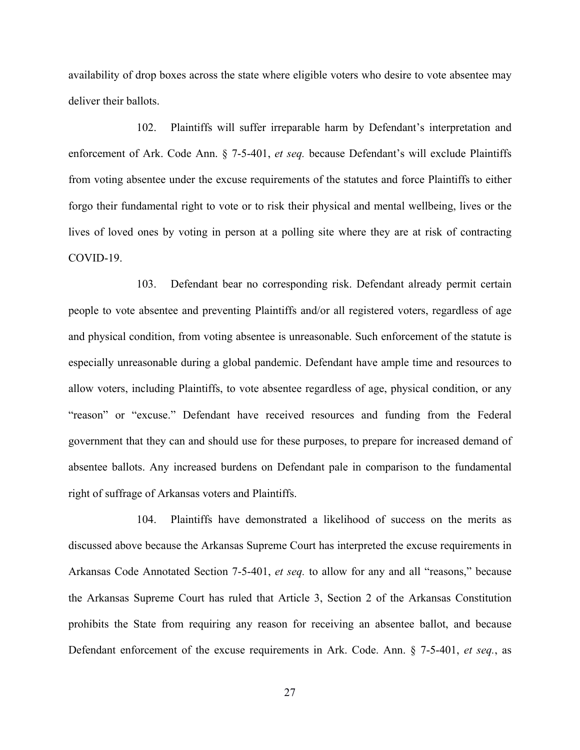availability of drop boxes across the state where eligible voters who desire to vote absentee may deliver their ballots.

102. Plaintiffs will suffer irreparable harm by Defendant's interpretation and enforcement of Ark. Code Ann. § 7-5-401, *et seq.* because Defendant's will exclude Plaintiffs from voting absentee under the excuse requirements of the statutes and force Plaintiffs to either forgo their fundamental right to vote or to risk their physical and mental wellbeing, lives or the lives of loved ones by voting in person at a polling site where they are at risk of contracting COVID-19.

103. Defendant bear no corresponding risk. Defendant already permit certain people to vote absentee and preventing Plaintiffs and/or all registered voters, regardless of age and physical condition, from voting absentee is unreasonable. Such enforcement of the statute is especially unreasonable during a global pandemic. Defendant have ample time and resources to allow voters, including Plaintiffs, to vote absentee regardless of age, physical condition, or any "reason" or "excuse." Defendant have received resources and funding from the Federal government that they can and should use for these purposes, to prepare for increased demand of absentee ballots. Any increased burdens on Defendant pale in comparison to the fundamental right of suffrage of Arkansas voters and Plaintiffs.

104. Plaintiffs have demonstrated a likelihood of success on the merits as discussed above because the Arkansas Supreme Court has interpreted the excuse requirements in Arkansas Code Annotated Section 7-5-401, *et seq.* to allow for any and all "reasons," because the Arkansas Supreme Court has ruled that Article 3, Section 2 of the Arkansas Constitution prohibits the State from requiring any reason for receiving an absentee ballot, and because Defendant enforcement of the excuse requirements in Ark. Code. Ann. § 7-5-401, *et seq.*, as

27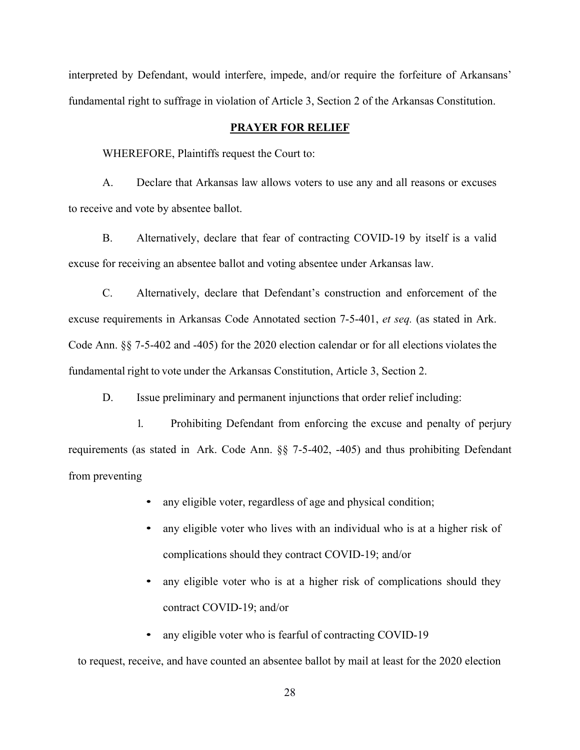interpreted by Defendant, would interfere, impede, and/or require the forfeiture of Arkansans' fundamental right to suffrage in violation of Article 3, Section 2 of the Arkansas Constitution.

# **PRAYER FOR RELIEF**

WHEREFORE, Plaintiffs request the Court to:

A. Declare that Arkansas law allows voters to use any and all reasons or excuses to receive and vote by absentee ballot.

B. Alternatively, declare that fear of contracting COVID-19 by itself is a valid excuse for receiving an absentee ballot and voting absentee under Arkansas law.

C. Alternatively, declare that Defendant's construction and enforcement of the excuse requirements in Arkansas Code Annotated section 7-5-401, *et seq.* (as stated in Ark. Code Ann. §§ 7-5-402 and -405) for the 2020 election calendar or for all elections violates the fundamental right to vote under the Arkansas Constitution, Article 3, Section 2.

D. Issue preliminary and permanent injunctions that order relief including:

1. Prohibiting Defendant from enforcing the excuse and penalty of perjury requirements (as stated in Ark. Code Ann. §§ 7-5-402, -405) and thus prohibiting Defendant from preventing

- any eligible voter, regardless of age and physical condition;
- any eligible voter who lives with an individual who is at a higher risk of complications should they contract COVID-19; and/or
- any eligible voter who is at a higher risk of complications should they contract COVID-19; and/or
- any eligible voter who is fearful of contracting COVID-19

to request, receive, and have counted an absentee ballot by mail at least for the 2020 election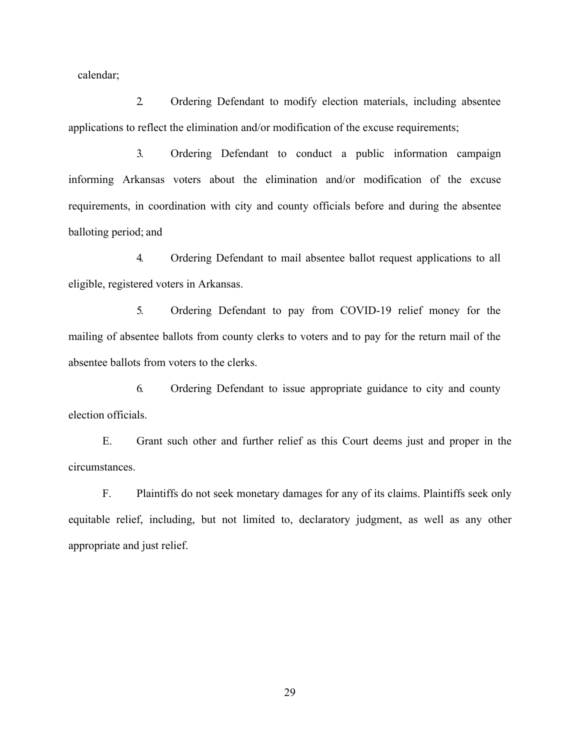calendar;

2. Ordering Defendant to modify election materials, including absentee applications to reflect the elimination and/or modification of the excuse requirements;

3. Ordering Defendant to conduct a public information campaign informing Arkansas voters about the elimination and/or modification of the excuse requirements, in coordination with city and county officials before and during the absentee balloting period; and

4. Ordering Defendant to mail absentee ballot request applications to all eligible, registered voters in Arkansas.

5. Ordering Defendant to pay from COVID-19 relief money for the mailing of absentee ballots from county clerks to voters and to pay for the return mail of the absentee ballots from voters to the clerks.

6. Ordering Defendant to issue appropriate guidance to city and county election officials.

E. Grant such other and further relief as this Court deems just and proper in the circumstances.

F. Plaintiffs do not seek monetary damages for any of its claims. Plaintiffs seek only equitable relief, including, but not limited to, declaratory judgment, as well as any other appropriate and just relief.

29